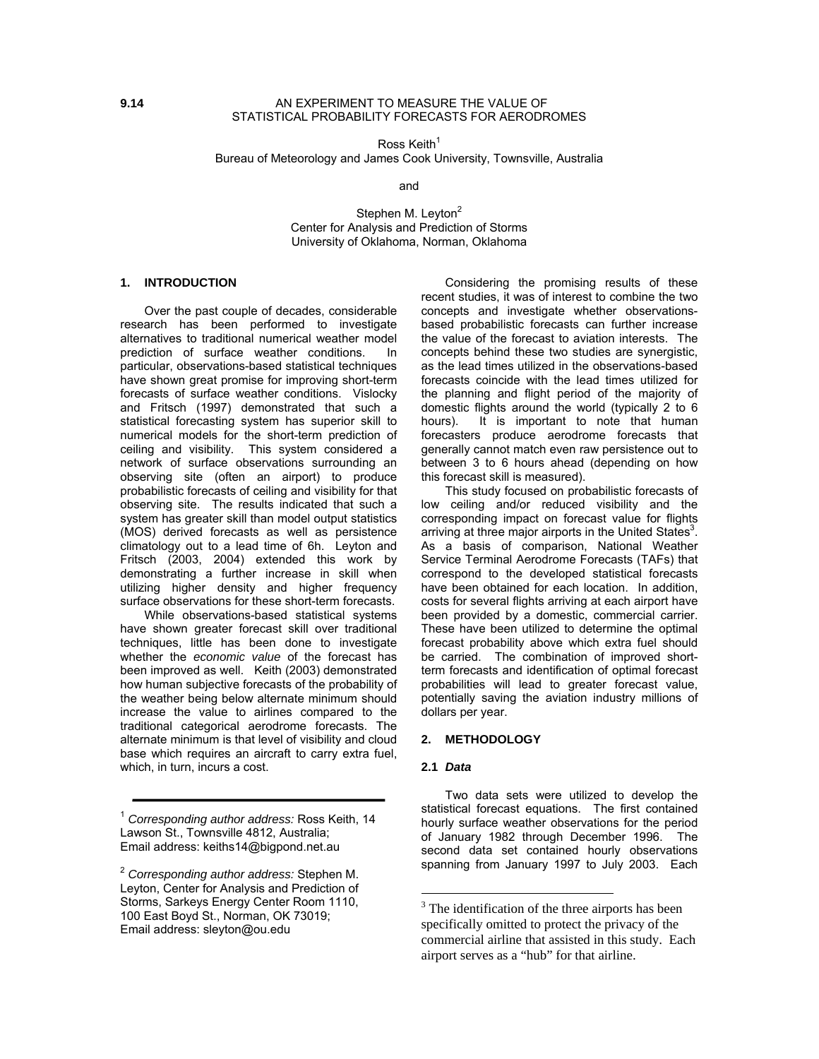Ross Keith $1$ Bureau of Meteorology and James Cook University, Townsville, Australia

and

Stephen M. Leyton<sup>2</sup> Center for Analysis and Prediction of Storms University of Oklahoma, Norman, Oklahoma

#### **1. INTRODUCTION**

Over the past couple of decades, considerable research has been performed to investigate alternatives to traditional numerical weather model prediction of surface weather conditions. In particular, observations-based statistical techniques have shown great promise for improving short-term forecasts of surface weather conditions. Vislocky and Fritsch (1997) demonstrated that such a statistical forecasting system has superior skill to numerical models for the short-term prediction of ceiling and visibility. This system considered a network of surface observations surrounding an observing site (often an airport) to produce probabilistic forecasts of ceiling and visibility for that observing site. The results indicated that such a system has greater skill than model output statistics (MOS) derived forecasts as well as persistence climatology out to a lead time of 6h. Leyton and Fritsch (2003, 2004) extended this work by demonstrating a further increase in skill when utilizing higher density and higher frequency surface observations for these short-term forecasts.

While observations-based statistical systems have shown greater forecast skill over traditional techniques, little has been done to investigate whether the *economic value* of the forecast has been improved as well. Keith (2003) demonstrated how human subjective forecasts of the probability of the weather being below alternate minimum should increase the value to airlines compared to the traditional categorical aerodrome forecasts. The alternate minimum is that level of visibility and cloud base which requires an aircraft to carry extra fuel, which, in turn, incurs a cost.

<sup>1</sup> *Corresponding author address:* Ross Keith, 14 Lawson St., Townsville 4812, Australia; Email address: keiths14@bigpond.net.au

Considering the promising results of these recent studies, it was of interest to combine the two concepts and investigate whether observationsbased probabilistic forecasts can further increase the value of the forecast to aviation interests. The concepts behind these two studies are synergistic, as the lead times utilized in the observations-based forecasts coincide with the lead times utilized for the planning and flight period of the majority of domestic flights around the world (typically 2 to 6 hours). It is important to note that human forecasters produce aerodrome forecasts that generally cannot match even raw persistence out to between 3 to 6 hours ahead (depending on how this forecast skill is measured).

This study focused on probabilistic forecasts of low ceiling and/or reduced visibility and the corresponding impact on forecast value for flights arriving at three major airports in the United States<sup>3</sup>. As a basis of comparison, National Weather Service Terminal Aerodrome Forecasts (TAFs) that correspond to the developed statistical forecasts have been obtained for each location. In addition, costs for several flights arriving at each airport have been provided by a domestic, commercial carrier. These have been utilized to determine the optimal forecast probability above which extra fuel should be carried. The combination of improved shortterm forecasts and identification of optimal forecast probabilities will lead to greater forecast value, potentially saving the aviation industry millions of dollars per year.

#### **2. METHODOLOGY**

#### **2.1** *Data*

 $\overline{a}$ 

Two data sets were utilized to develop the statistical forecast equations. The first contained hourly surface weather observations for the period of January 1982 through December 1996. The second data set contained hourly observations spanning from January 1997 to July 2003. Each

<sup>2</sup> *Corresponding author address:* Stephen M. Leyton, Center for Analysis and Prediction of Storms, Sarkeys Energy Center Room 1110, 100 East Boyd St., Norman, OK 73019; Email address: sleyton@ou.edu

<sup>&</sup>lt;sup>3</sup> The identification of the three airports has been specifically omitted to protect the privacy of the commercial airline that assisted in this study. Each airport serves as a "hub" for that airline.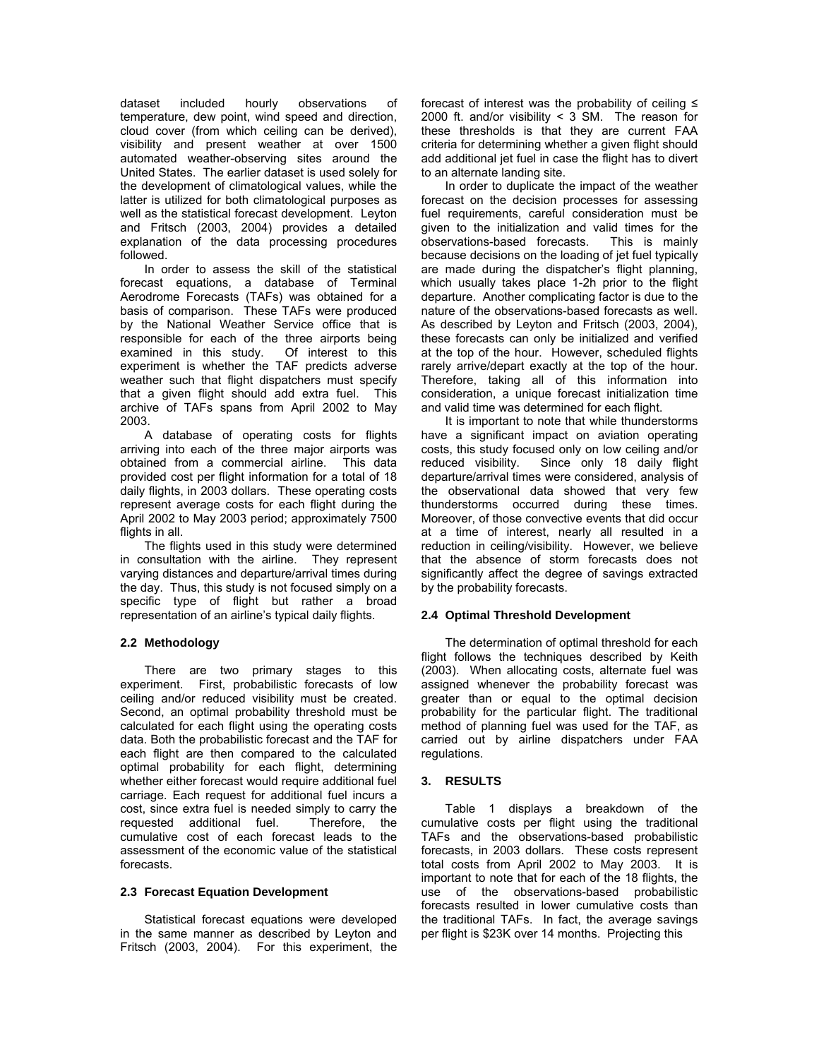dataset included hourly observations of temperature, dew point, wind speed and direction, cloud cover (from which ceiling can be derived), visibility and present weather at over 1500 automated weather-observing sites around the United States. The earlier dataset is used solely for the development of climatological values, while the latter is utilized for both climatological purposes as well as the statistical forecast development. Leyton and Fritsch (2003, 2004) provides a detailed explanation of the data processing procedures followed.

In order to assess the skill of the statistical forecast equations, a database of Terminal Aerodrome Forecasts (TAFs) was obtained for a basis of comparison. These TAFs were produced by the National Weather Service office that is responsible for each of the three airports being examined in this study. Of interest to this experiment is whether the TAF predicts adverse weather such that flight dispatchers must specify that a given flight should add extra fuel. This archive of TAFs spans from April 2002 to May 2003.

A database of operating costs for flights arriving into each of the three major airports was obtained from a commercial airline. This data provided cost per flight information for a total of 18 daily flights, in 2003 dollars. These operating costs represent average costs for each flight during the April 2002 to May 2003 period; approximately 7500 flights in all.

The flights used in this study were determined in consultation with the airline. They represent varying distances and departure/arrival times during the day. Thus, this study is not focused simply on a specific type of flight but rather a broad representation of an airline's typical daily flights.

# **2.2 Methodology**

There are two primary stages to this experiment. First, probabilistic forecasts of low ceiling and/or reduced visibility must be created. Second, an optimal probability threshold must be calculated for each flight using the operating costs data. Both the probabilistic forecast and the TAF for each flight are then compared to the calculated optimal probability for each flight, determining whether either forecast would require additional fuel carriage. Each request for additional fuel incurs a cost, since extra fuel is needed simply to carry the requested additional fuel. Therefore, the cumulative cost of each forecast leads to the assessment of the economic value of the statistical forecasts.

# **2.3 Forecast Equation Development**

Statistical forecast equations were developed in the same manner as described by Leyton and Fritsch (2003, 2004). For this experiment, the forecast of interest was the probability of ceiling ≤ 2000 ft. and/or visibility < 3 SM. The reason for these thresholds is that they are current FAA criteria for determining whether a given flight should add additional jet fuel in case the flight has to divert to an alternate landing site.

In order to duplicate the impact of the weather forecast on the decision processes for assessing fuel requirements, careful consideration must be given to the initialization and valid times for the observations-based forecasts. This is mainly because decisions on the loading of jet fuel typically are made during the dispatcher's flight planning, which usually takes place 1-2h prior to the flight departure. Another complicating factor is due to the nature of the observations-based forecasts as well. As described by Leyton and Fritsch (2003, 2004), these forecasts can only be initialized and verified at the top of the hour. However, scheduled flights rarely arrive/depart exactly at the top of the hour. Therefore, taking all of this information into consideration, a unique forecast initialization time and valid time was determined for each flight.

It is important to note that while thunderstorms have a significant impact on aviation operating costs, this study focused only on low ceiling and/or reduced visibility. Since only 18 daily flight departure/arrival times were considered, analysis of the observational data showed that very few thunderstorms occurred during these times. Moreover, of those convective events that did occur at a time of interest, nearly all resulted in a reduction in ceiling/visibility. However, we believe that the absence of storm forecasts does not significantly affect the degree of savings extracted by the probability forecasts.

# **2.4 Optimal Threshold Development**

The determination of optimal threshold for each flight follows the techniques described by Keith (2003). When allocating costs, alternate fuel was assigned whenever the probability forecast was greater than or equal to the optimal decision probability for the particular flight. The traditional method of planning fuel was used for the TAF, as carried out by airline dispatchers under FAA regulations.

# **3. RESULTS**

Table 1 displays a breakdown of the cumulative costs per flight using the traditional TAFs and the observations-based probabilistic forecasts, in 2003 dollars. These costs represent total costs from April 2002 to May 2003. It is important to note that for each of the 18 flights, the use of the observations-based probabilistic forecasts resulted in lower cumulative costs than the traditional TAFs. In fact, the average savings per flight is \$23K over 14 months. Projecting this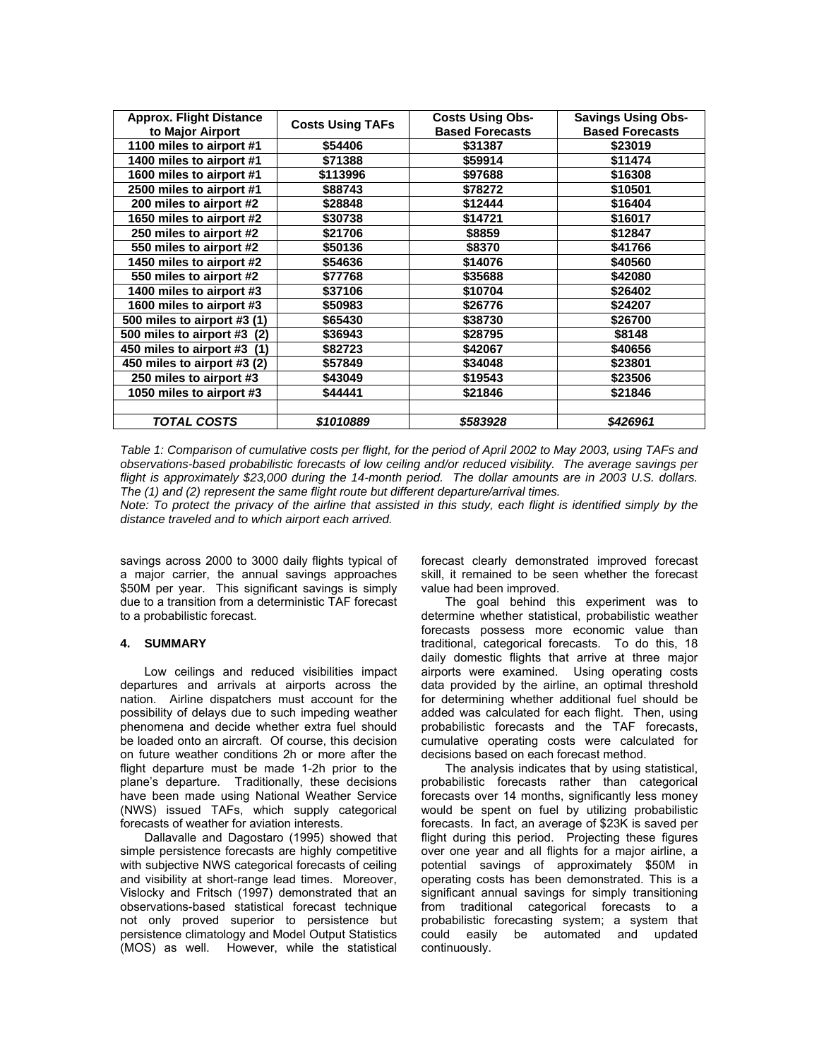| <b>Approx. Flight Distance</b> | <b>Costs Using TAFs</b> | <b>Costs Using Obs-</b> | <b>Savings Using Obs-</b> |
|--------------------------------|-------------------------|-------------------------|---------------------------|
| to Major Airport               |                         | <b>Based Forecasts</b>  | <b>Based Forecasts</b>    |
| 1100 miles to airport #1       | \$54406                 | \$31387                 | \$23019                   |
| 1400 miles to airport #1       | \$71388                 | \$59914                 | \$11474                   |
| 1600 miles to airport #1       | \$113996                | \$97688                 | \$16308                   |
| 2500 miles to airport #1       | \$88743                 | \$78272                 | \$10501                   |
| 200 miles to airport #2        | \$28848                 | \$12444                 | \$16404                   |
| 1650 miles to airport #2       | \$30738                 | \$14721                 | \$16017                   |
| 250 miles to airport #2        | \$21706                 | \$8859                  | \$12847                   |
| 550 miles to airport #2        | \$50136                 | \$8370                  | \$41766                   |
| 1450 miles to airport #2       | \$54636                 | \$14076                 | \$40560                   |
| 550 miles to airport #2        | \$77768                 | \$35688                 | \$42080                   |
| 1400 miles to airport #3       | \$37106                 | \$10704                 | \$26402                   |
| 1600 miles to airport #3       | \$50983                 | \$26776                 | \$24207                   |
| 500 miles to airport #3 (1)    | \$65430                 | \$38730                 | \$26700                   |
| 500 miles to airport #3 (2)    | \$36943                 | \$28795                 | \$8148                    |
| 450 miles to airport #3 (1)    | \$82723                 | \$42067                 | \$40656                   |
| 450 miles to airport #3 (2)    | \$57849                 | \$34048                 | \$23801                   |
| 250 miles to airport #3        | \$43049                 | \$19543                 | \$23506                   |
| 1050 miles to airport #3       | \$44441                 | \$21846                 | \$21846                   |
|                                |                         |                         |                           |
| TOTAL COSTS                    | \$1010889               | \$583928                | \$426961                  |

*Table 1: Comparison of cumulative costs per flight, for the period of April 2002 to May 2003, using TAFs and observations-based probabilistic forecasts of low ceiling and/or reduced visibility. The average savings per flight is approximately \$23,000 during the 14-month period. The dollar amounts are in 2003 U.S. dollars. The (1) and (2) represent the same flight route but different departure/arrival times.* 

*Note: To protect the privacy of the airline that assisted in this study, each flight is identified simply by the distance traveled and to which airport each arrived.* 

savings across 2000 to 3000 daily flights typical of a major carrier, the annual savings approaches \$50M per year. This significant savings is simply due to a transition from a deterministic TAF forecast to a probabilistic forecast.

#### **4. SUMMARY**

Low ceilings and reduced visibilities impact departures and arrivals at airports across the nation. Airline dispatchers must account for the possibility of delays due to such impeding weather phenomena and decide whether extra fuel should be loaded onto an aircraft. Of course, this decision on future weather conditions 2h or more after the flight departure must be made 1-2h prior to the plane's departure. Traditionally, these decisions have been made using National Weather Service (NWS) issued TAFs, which supply categorical forecasts of weather for aviation interests.

Dallavalle and Dagostaro (1995) showed that simple persistence forecasts are highly competitive with subjective NWS categorical forecasts of ceiling and visibility at short-range lead times. Moreover, Vislocky and Fritsch (1997) demonstrated that an observations-based statistical forecast technique not only proved superior to persistence but persistence climatology and Model Output Statistics (MOS) as well. However, while the statistical

forecast clearly demonstrated improved forecast skill, it remained to be seen whether the forecast value had been improved.

The goal behind this experiment was to determine whether statistical, probabilistic weather forecasts possess more economic value than traditional, categorical forecasts. To do this, 18 daily domestic flights that arrive at three major airports were examined. Using operating costs data provided by the airline, an optimal threshold for determining whether additional fuel should be added was calculated for each flight. Then, using probabilistic forecasts and the TAF forecasts, cumulative operating costs were calculated for decisions based on each forecast method.

The analysis indicates that by using statistical, probabilistic forecasts rather than categorical forecasts over 14 months, significantly less money would be spent on fuel by utilizing probabilistic forecasts. In fact, an average of \$23K is saved per flight during this period. Projecting these figures over one year and all flights for a major airline, a potential savings of approximately \$50M in operating costs has been demonstrated. This is a significant annual savings for simply transitioning from traditional categorical forecasts to a probabilistic forecasting system; a system that could easily be automated and updated continuously.